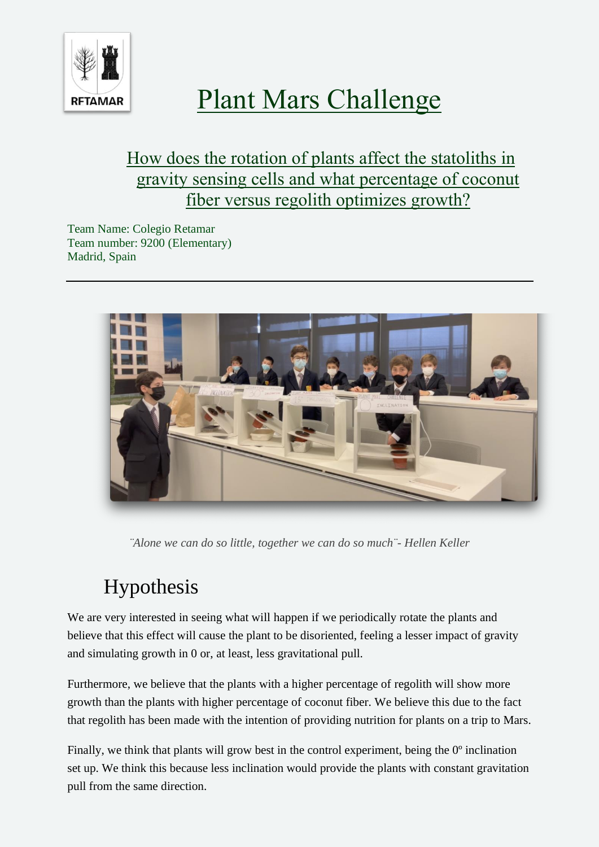

# Plant Mars Challenge

### How does the rotation of plants affect the statoliths in gravity sensing cells and what percentage of coconut fiber versus regolith optimizes growth?

Team Name: Colegio Retamar Team number: 9200 (Elementary) Madrid, Spain



*¨Alone we can do so little, together we can do so much¨- Hellen Keller*

## Hypothesis

We are very interested in seeing what will happen if we periodically rotate the plants and believe that this effect will cause the plant to be disoriented, feeling a lesser impact of gravity and simulating growth in 0 or, at least, less gravitational pull.

Furthermore, we believe that the plants with a higher percentage of regolith will show more growth than the plants with higher percentage of coconut fiber. We believe this due to the fact that regolith has been made with the intention of providing nutrition for plants on a trip to Mars.

Finally, we think that plants will grow best in the control experiment, being the  $0^{\circ}$  inclination set up. We think this because less inclination would provide the plants with constant gravitation pull from the same direction.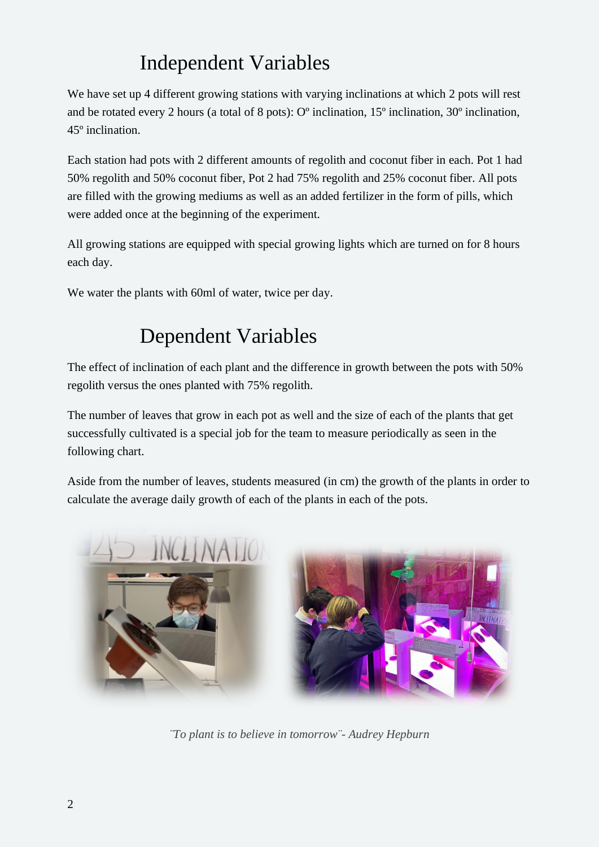## Independent Variables

We have set up 4 different growing stations with varying inclinations at which 2 pots will rest and be rotated every 2 hours (a total of 8 pots): Oº inclination, 15º inclination, 30º inclination, 45º inclination.

Each station had pots with 2 different amounts of regolith and coconut fiber in each. Pot 1 had 50% regolith and 50% coconut fiber, Pot 2 had 75% regolith and 25% coconut fiber. All pots are filled with the growing mediums as well as an added fertilizer in the form of pills, which were added once at the beginning of the experiment.

All growing stations are equipped with special growing lights which are turned on for 8 hours each day.

We water the plants with 60ml of water, twice per day.

### Dependent Variables

The effect of inclination of each plant and the difference in growth between the pots with 50% regolith versus the ones planted with 75% regolith.

The number of leaves that grow in each pot as well and the size of each of the plants that get successfully cultivated is a special job for the team to measure periodically as seen in the following chart.

Aside from the number of leaves, students measured (in cm) the growth of the plants in order to calculate the average daily growth of each of the plants in each of the pots.



*¨To plant is to believe in tomorrow¨- Audrey Hepburn*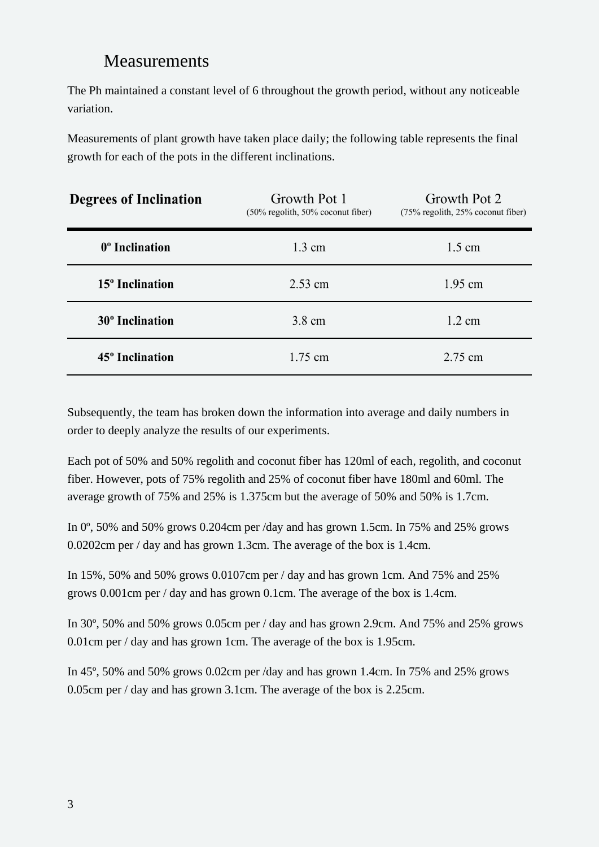### Measurements

The Ph maintained a constant level of 6 throughout the growth period, without any noticeable variation.

Measurements of plant growth have taken place daily; the following table represents the final growth for each of the pots in the different inclinations.

| <b>Degrees of Inclination</b> | Growth Pot 1<br>$(50\% \text{ regolith}, 50\% \text{ cocomut fiber})$ | Growth Pot 2<br>$(75\% \text{ regolith}, 25\% \text{ coconut fiber})$ |
|-------------------------------|-----------------------------------------------------------------------|-----------------------------------------------------------------------|
| 0 <sup>°</sup> Inclination    | $1.3 \text{ cm}$                                                      | $1.5 \text{ cm}$                                                      |
| 15 <sup>°</sup> Inclination   | $2.53$ cm                                                             | $1.95$ cm                                                             |
| 30 <sup>°</sup> Inclination   | 3.8 cm                                                                | $1.2 \text{ cm}$                                                      |
| 45 <sup>°</sup> Inclination   | $1.75$ cm                                                             | 2.75 cm                                                               |

Subsequently, the team has broken down the information into average and daily numbers in order to deeply analyze the results of our experiments.

Each pot of 50% and 50% regolith and coconut fiber has 120ml of each, regolith, and coconut fiber. However, pots of 75% regolith and 25% of coconut fiber have 180ml and 60ml. The average growth of 75% and 25% is 1.375cm but the average of 50% and 50% is 1.7cm.

In 0<sup>o</sup>, 50% and 50% grows 0.204cm per /day and has grown 1.5cm. In 75% and 25% grows 0.0202cm per / day and has grown 1.3cm. The average of the box is 1.4cm.

In 15%, 50% and 50% grows 0.0107cm per / day and has grown 1cm. And 75% and 25% grows 0.001cm per / day and has grown 0.1cm. The average of the box is 1.4cm.

In 30º, 50% and 50% grows 0.05cm per / day and has grown 2.9cm. And 75% and 25% grows 0.01cm per / day and has grown 1cm. The average of the box is 1.95cm.

In 45º, 50% and 50% grows 0.02cm per /day and has grown 1.4cm. In 75% and 25% grows 0.05cm per / day and has grown 3.1cm. The average of the box is 2.25cm.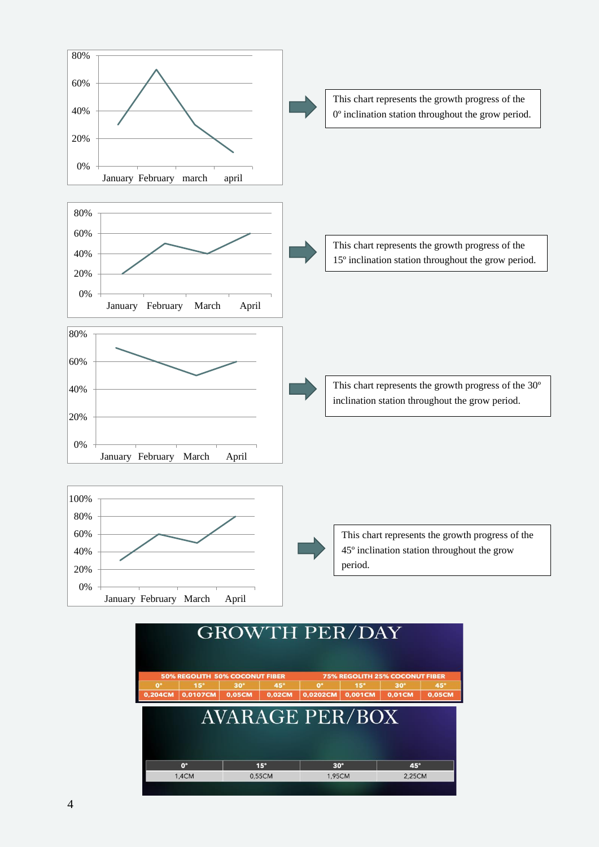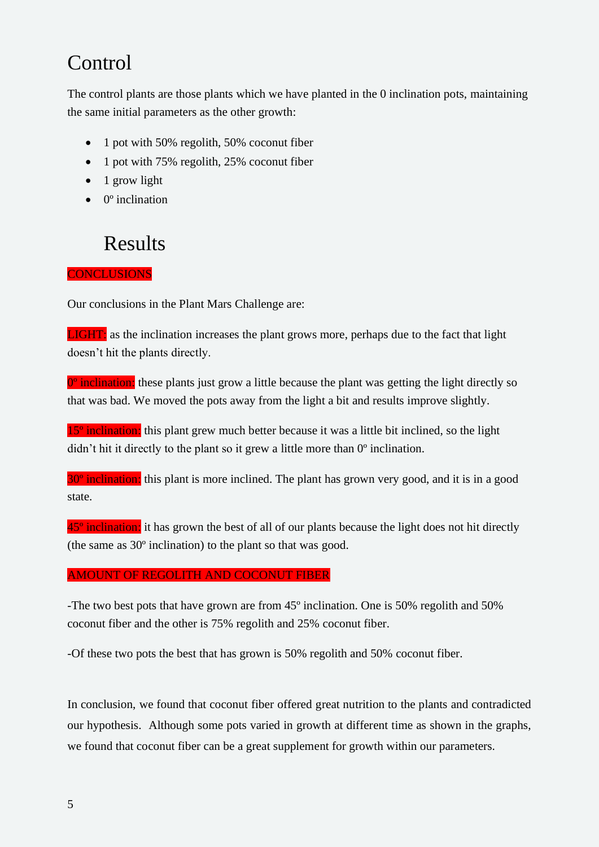### **Control**

The control plants are those plants which we have planted in the 0 inclination pots, maintaining the same initial parameters as the other growth:

- 1 pot with 50% regolith, 50% coconut fiber
- 1 pot with 75% regolith, 25% coconut fiber
- 1 grow light
- $\bullet$  0 $\degree$  inclination

### Results

#### **CONCLUSIONS**

Our conclusions in the Plant Mars Challenge are:

**LIGHT:** as the inclination increases the plant grows more, perhaps due to the fact that light doesn't hit the plants directly.

 $0^\circ$  inclination: these plants just grow a little because the plant was getting the light directly so that was bad. We moved the pots away from the light a bit and results improve slightly.

15<sup>°</sup> inclination: this plant grew much better because it was a little bit inclined, so the light didn't hit it directly to the plant so it grew a little more than 0º inclination.

30<sup>°</sup> inclination: this plant is more inclined. The plant has grown very good, and it is in a good state.

45<sup>°</sup> inclination: it has grown the best of all of our plants because the light does not hit directly (the same as 30º inclination) to the plant so that was good.

#### AMOUNT OF REGOLITH AND COCONUT FIBER

-The two best pots that have grown are from 45º inclination. One is 50% regolith and 50% coconut fiber and the other is 75% regolith and 25% coconut fiber.

-Of these two pots the best that has grown is 50% regolith and 50% coconut fiber.

In conclusion, we found that coconut fiber offered great nutrition to the plants and contradicted our hypothesis. Although some pots varied in growth at different time as shown in the graphs, we found that coconut fiber can be a great supplement for growth within our parameters.